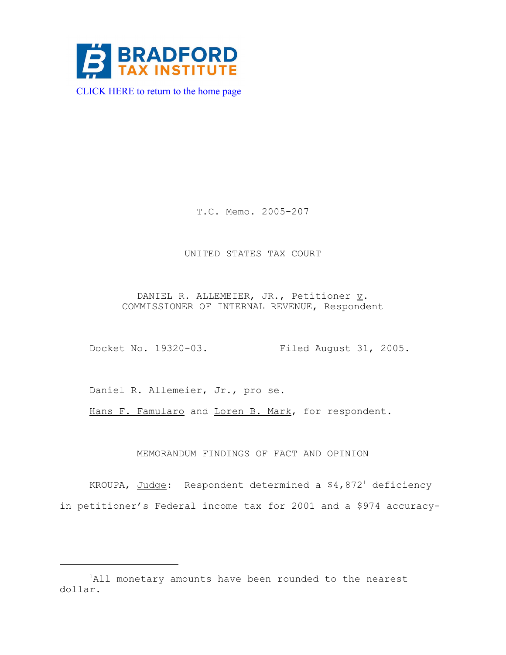

T.C. Memo. 2005-207

### UNITED STATES TAX COURT

DANIEL R. ALLEMEIER, JR., Petitioner  $\underline{v}$ . COMMISSIONER OF INTERNAL REVENUE, Respondent

Docket No. 19320-03. Filed August 31, 2005.

Daniel R. Allemeier, Jr., pro se.

Hans F. Famularo and Loren B. Mark, for respondent.

### MEMORANDUM FINDINGS OF FACT AND OPINION

KROUPA, Judge: Respondent determined a  $$4,872<sup>1</sup>$  deficiency in petitioner's Federal income tax for 2001 and a \$974 accuracy-

<sup>&</sup>lt;sup>1</sup>All monetary amounts have been rounded to the nearest dollar.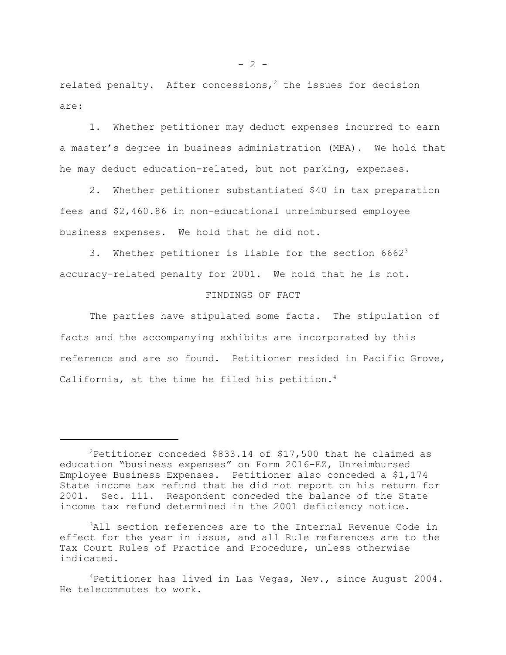related penalty. After concessions,<sup>2</sup> the issues for decision are:

1. Whether petitioner may deduct expenses incurred to earn a master's degree in business administration (MBA). We hold that he may deduct education-related, but not parking, expenses.

2. Whether petitioner substantiated \$40 in tax preparation fees and \$2,460.86 in non-educational unreimbursed employee business expenses. We hold that he did not.

3. Whether petitioner is liable for the section  $6662<sup>3</sup>$ accuracy-related penalty for 2001. We hold that he is not.

## FINDINGS OF FACT

The parties have stipulated some facts. The stipulation of facts and the accompanying exhibits are incorporated by this reference and are so found. Petitioner resided in Pacific Grove, California, at the time he filed his petition.<sup>4</sup>

<sup>&</sup>lt;sup>2</sup>Petitioner conceded \$833.14 of \$17,500 that he claimed as education "business expenses" on Form 2016-EZ, Unreimbursed Employee Business Expenses. Petitioner also conceded a \$1,174 State income tax refund that he did not report on his return for 2001. Sec. 111. Respondent conceded the balance of the State income tax refund determined in the 2001 deficiency notice.

<sup>3</sup>All section references are to the Internal Revenue Code in effect for the year in issue, and all Rule references are to the Tax Court Rules of Practice and Procedure, unless otherwise indicated.

 $4$ Petitioner has lived in Las Vegas, Nev., since August 2004. He telecommutes to work.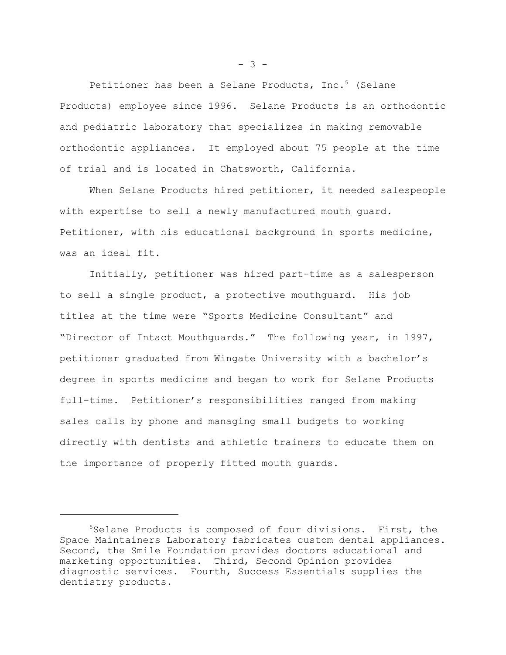Petitioner has been a Selane Products, Inc.<sup>5</sup> (Selane Products) employee since 1996. Selane Products is an orthodontic and pediatric laboratory that specializes in making removable orthodontic appliances. It employed about 75 people at the time of trial and is located in Chatsworth, California.

When Selane Products hired petitioner, it needed salespeople with expertise to sell a newly manufactured mouth guard. Petitioner, with his educational background in sports medicine, was an ideal fit.

Initially, petitioner was hired part-time as a salesperson to sell a single product, a protective mouthguard. His job titles at the time were "Sports Medicine Consultant" and "Director of Intact Mouthguards." The following year, in 1997, petitioner graduated from Wingate University with a bachelor's degree in sports medicine and began to work for Selane Products full-time. Petitioner's responsibilities ranged from making sales calls by phone and managing small budgets to working directly with dentists and athletic trainers to educate them on the importance of properly fitted mouth guards.

- 3 -

<sup>5</sup>Selane Products is composed of four divisions. First, the Space Maintainers Laboratory fabricates custom dental appliances. Second, the Smile Foundation provides doctors educational and marketing opportunities. Third, Second Opinion provides diagnostic services. Fourth, Success Essentials supplies the dentistry products.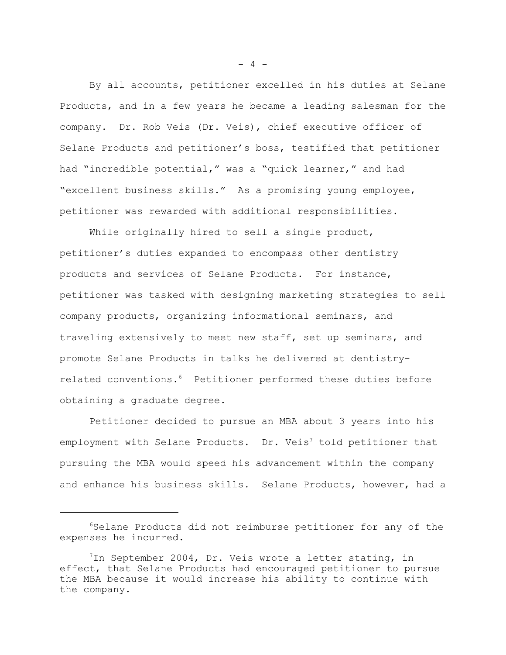By all accounts, petitioner excelled in his duties at Selane Products, and in a few years he became a leading salesman for the company. Dr. Rob Veis (Dr. Veis), chief executive officer of Selane Products and petitioner's boss, testified that petitioner had "incredible potential," was a "quick learner," and had "excellent business skills." As a promising young employee, petitioner was rewarded with additional responsibilities.

While originally hired to sell a single product, petitioner's duties expanded to encompass other dentistry products and services of Selane Products. For instance, petitioner was tasked with designing marketing strategies to sell company products, organizing informational seminars, and traveling extensively to meet new staff, set up seminars, and promote Selane Products in talks he delivered at dentistryrelated conventions.6 Petitioner performed these duties before obtaining a graduate degree.

Petitioner decided to pursue an MBA about 3 years into his employment with Selane Products. Dr. Veis<sup>7</sup> told petitioner that pursuing the MBA would speed his advancement within the company and enhance his business skills. Selane Products, however, had a

 $- 4 -$ 

<sup>6</sup>Selane Products did not reimburse petitioner for any of the expenses he incurred.

<sup>7</sup>In September 2004, Dr. Veis wrote a letter stating, in effect, that Selane Products had encouraged petitioner to pursue the MBA because it would increase his ability to continue with the company.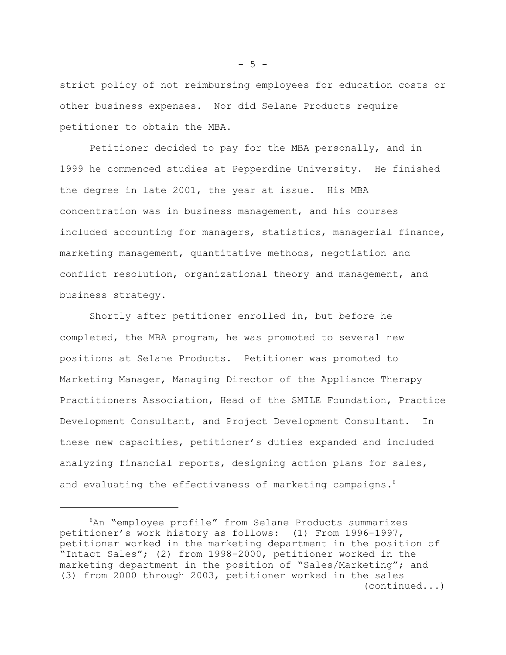strict policy of not reimbursing employees for education costs or other business expenses. Nor did Selane Products require petitioner to obtain the MBA.

Petitioner decided to pay for the MBA personally, and in 1999 he commenced studies at Pepperdine University. He finished the degree in late 2001, the year at issue. His MBA concentration was in business management, and his courses included accounting for managers, statistics, managerial finance, marketing management, quantitative methods, negotiation and conflict resolution, organizational theory and management, and business strategy.

Shortly after petitioner enrolled in, but before he completed, the MBA program, he was promoted to several new positions at Selane Products. Petitioner was promoted to Marketing Manager, Managing Director of the Appliance Therapy Practitioners Association, Head of the SMILE Foundation, Practice Development Consultant, and Project Development Consultant. In these new capacities, petitioner's duties expanded and included analyzing financial reports, designing action plans for sales, and evaluating the effectiveness of marketing campaigns.<sup>8</sup>

 $-5 -$ 

<sup>8</sup>An "employee profile" from Selane Products summarizes petitioner's work history as follows: (1) From 1996-1997, petitioner worked in the marketing department in the position of "Intact Sales"; (2) from 1998-2000, petitioner worked in the marketing department in the position of "Sales/Marketing"; and (3) from 2000 through 2003, petitioner worked in the sales (continued...)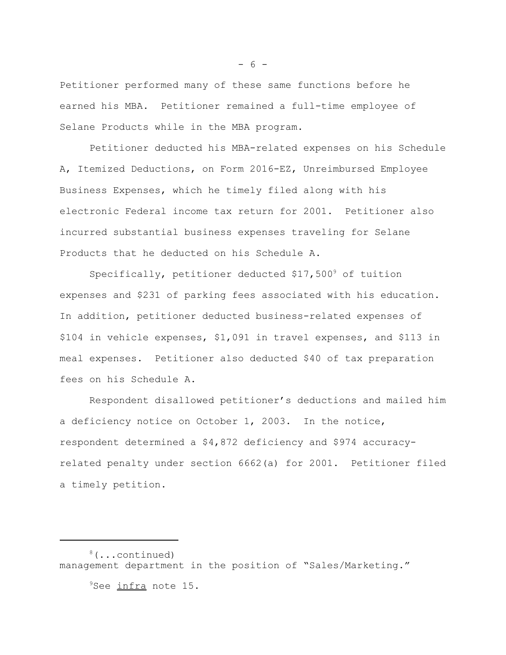Petitioner performed many of these same functions before he earned his MBA. Petitioner remained a full-time employee of Selane Products while in the MBA program.

Petitioner deducted his MBA-related expenses on his Schedule A, Itemized Deductions, on Form 2016-EZ, Unreimbursed Employee Business Expenses, which he timely filed along with his electronic Federal income tax return for 2001. Petitioner also incurred substantial business expenses traveling for Selane Products that he deducted on his Schedule A.

Specifically, petitioner deducted \$17,5009 of tuition expenses and \$231 of parking fees associated with his education. In addition, petitioner deducted business-related expenses of \$104 in vehicle expenses, \$1,091 in travel expenses, and \$113 in meal expenses. Petitioner also deducted \$40 of tax preparation fees on his Schedule A.

Respondent disallowed petitioner's deductions and mailed him a deficiency notice on October 1, 2003. In the notice, respondent determined a \$4,872 deficiency and \$974 accuracyrelated penalty under section 6662(a) for 2001. Petitioner filed a timely petition.

<sup>9</sup>See infra note 15.

- 6 -

<sup>8(...</sup>continued) management department in the position of "Sales/Marketing."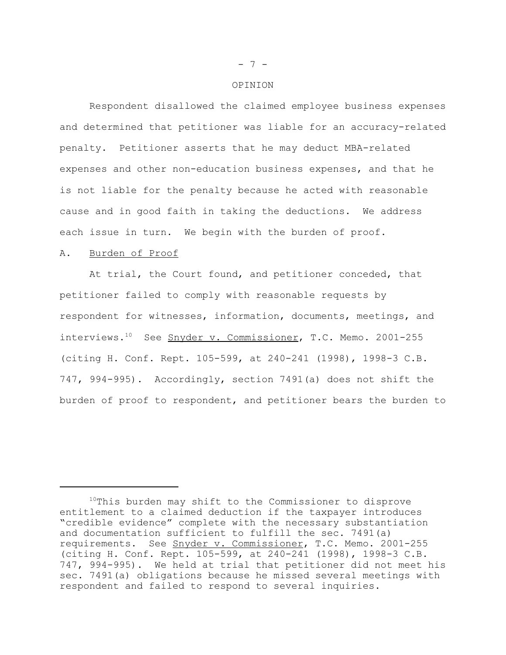#### OPINION

Respondent disallowed the claimed employee business expenses and determined that petitioner was liable for an accuracy-related penalty. Petitioner asserts that he may deduct MBA-related expenses and other non-education business expenses, and that he is not liable for the penalty because he acted with reasonable cause and in good faith in taking the deductions. We address each issue in turn. We begin with the burden of proof.

### A. Burden of Proof

At trial, the Court found, and petitioner conceded, that petitioner failed to comply with reasonable requests by respondent for witnesses, information, documents, meetings, and interviews.10 See Snyder v. Commissioner, T.C. Memo. 2001-255 (citing H. Conf. Rept. 105-599, at 240-241 (1998), 1998-3 C.B. 747, 994-995). Accordingly, section 7491(a) does not shift the burden of proof to respondent, and petitioner bears the burden to

### - 7 -

<sup>&</sup>lt;sup>10</sup>This burden may shift to the Commissioner to disprove entitlement to a claimed deduction if the taxpayer introduces "credible evidence" complete with the necessary substantiation and documentation sufficient to fulfill the sec. 7491(a) requirements. See Snyder v. Commissioner, T.C. Memo. 2001-255 (citing H. Conf. Rept. 105-599, at 240-241 (1998), 1998-3 C.B. 747, 994-995). We held at trial that petitioner did not meet his sec. 7491(a) obligations because he missed several meetings with respondent and failed to respond to several inquiries.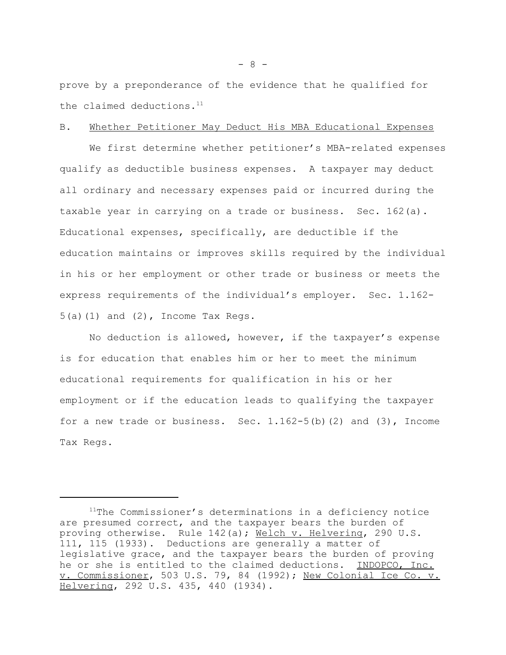prove by a preponderance of the evidence that he qualified for the claimed deductions. $11$ 

## B. Whether Petitioner May Deduct His MBA Educational Expenses

We first determine whether petitioner's MBA-related expenses qualify as deductible business expenses. A taxpayer may deduct all ordinary and necessary expenses paid or incurred during the taxable year in carrying on a trade or business. Sec. 162(a). Educational expenses, specifically, are deductible if the education maintains or improves skills required by the individual in his or her employment or other trade or business or meets the express requirements of the individual's employer. Sec. 1.162-  $5(a)(1)$  and  $(2)$ , Income Tax Regs.

No deduction is allowed, however, if the taxpayer's expense is for education that enables him or her to meet the minimum educational requirements for qualification in his or her employment or if the education leads to qualifying the taxpayer for a new trade or business. Sec.  $1.162-5(b)$  (2) and (3), Income Tax Regs.

 $11$ The Commissioner's determinations in a deficiency notice are presumed correct, and the taxpayer bears the burden of proving otherwise. Rule 142(a); Welch v. Helvering, 290 U.S. 111, 115 (1933). Deductions are generally a matter of legislative grace, and the taxpayer bears the burden of proving he or she is entitled to the claimed deductions. INDOPCO, Inc. v. Commissioner, 503 U.S. 79, 84 (1992); New Colonial Ice Co. v. Helvering, 292 U.S. 435, 440 (1934).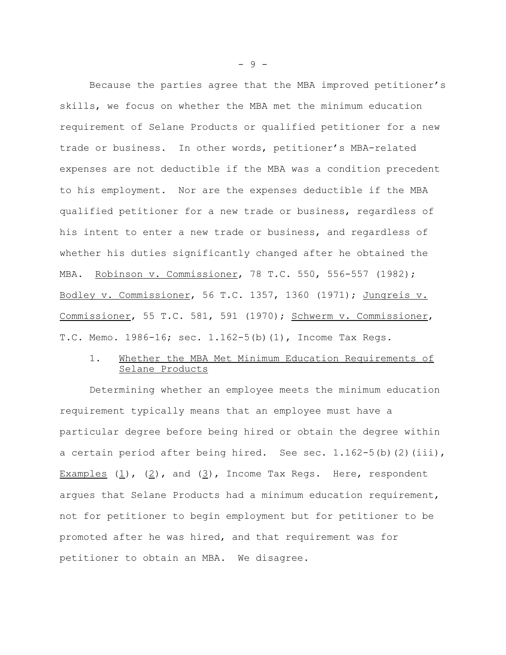Because the parties agree that the MBA improved petitioner's skills, we focus on whether the MBA met the minimum education requirement of Selane Products or qualified petitioner for a new trade or business. In other words, petitioner's MBA-related expenses are not deductible if the MBA was a condition precedent to his employment. Nor are the expenses deductible if the MBA qualified petitioner for a new trade or business, regardless of his intent to enter a new trade or business, and regardless of whether his duties significantly changed after he obtained the MBA. Robinson v. Commissioner, 78 T.C. 550, 556-557 (1982); Bodley v. Commissioner, 56 T.C. 1357, 1360 (1971); Jungreis v. Commissioner, 55 T.C. 581, 591 (1970); Schwerm v. Commissioner, T.C. Memo. 1986-16; sec. 1.162-5(b)(1), Income Tax Regs.

# 1. Whether the MBA Met Minimum Education Requirements of Selane Products

Determining whether an employee meets the minimum education requirement typically means that an employee must have a particular degree before being hired or obtain the degree within a certain period after being hired. See sec.  $1.162-5(b)(2)(iii)$ , Examples  $(1)$ ,  $(2)$ , and  $(3)$ , Income Tax Regs. Here, respondent argues that Selane Products had a minimum education requirement, not for petitioner to begin employment but for petitioner to be promoted after he was hired, and that requirement was for petitioner to obtain an MBA. We disagree.

- 9 -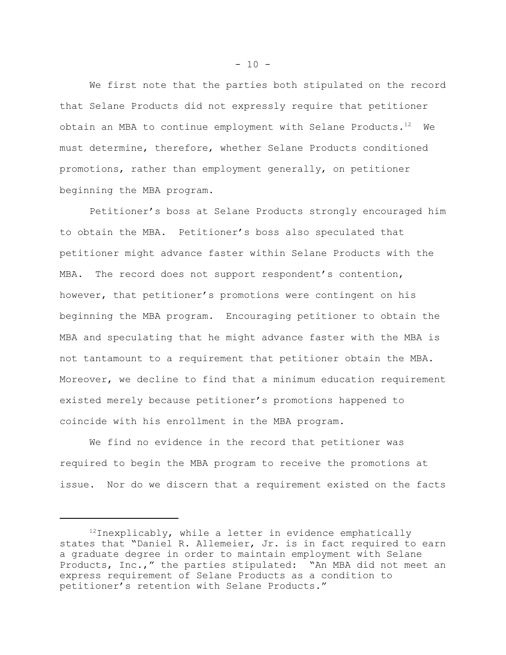We first note that the parties both stipulated on the record that Selane Products did not expressly require that petitioner obtain an MBA to continue employment with Selane Products.<sup>12</sup> We must determine, therefore, whether Selane Products conditioned promotions, rather than employment generally, on petitioner beginning the MBA program.

Petitioner's boss at Selane Products strongly encouraged him to obtain the MBA. Petitioner's boss also speculated that petitioner might advance faster within Selane Products with the MBA. The record does not support respondent's contention, however, that petitioner's promotions were contingent on his beginning the MBA program. Encouraging petitioner to obtain the MBA and speculating that he might advance faster with the MBA is not tantamount to a requirement that petitioner obtain the MBA. Moreover, we decline to find that a minimum education requirement existed merely because petitioner's promotions happened to coincide with his enrollment in the MBA program.

We find no evidence in the record that petitioner was required to begin the MBA program to receive the promotions at issue. Nor do we discern that a requirement existed on the facts

 $- 10 -$ 

 $12$ Inexplicably, while a letter in evidence emphatically states that "Daniel R. Allemeier, Jr. is in fact required to earn a graduate degree in order to maintain employment with Selane Products, Inc.," the parties stipulated: "An MBA did not meet an express requirement of Selane Products as a condition to petitioner's retention with Selane Products."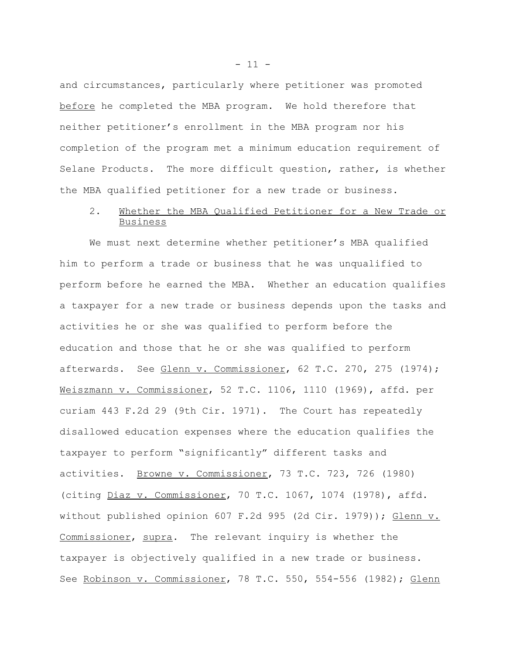and circumstances, particularly where petitioner was promoted before he completed the MBA program. We hold therefore that neither petitioner's enrollment in the MBA program nor his completion of the program met a minimum education requirement of Selane Products. The more difficult question, rather, is whether the MBA qualified petitioner for a new trade or business.

## 2. Whether the MBA Qualified Petitioner for a New Trade or Business

We must next determine whether petitioner's MBA qualified him to perform a trade or business that he was unqualified to perform before he earned the MBA. Whether an education qualifies a taxpayer for a new trade or business depends upon the tasks and activities he or she was qualified to perform before the education and those that he or she was qualified to perform afterwards. See Glenn v. Commissioner, 62 T.C. 270, 275 (1974); Weiszmann v. Commissioner, 52 T.C. 1106, 1110 (1969), affd. per curiam 443 F.2d 29 (9th Cir. 1971). The Court has repeatedly disallowed education expenses where the education qualifies the taxpayer to perform "significantly" different tasks and activities. Browne v. Commissioner, 73 T.C. 723, 726 (1980) (citing Diaz v. Commissioner, 70 T.C. 1067, 1074 (1978), affd. without published opinion 607 F.2d 995 (2d Cir. 1979)); Glenn v. Commissioner, supra. The relevant inquiry is whether the taxpayer is objectively qualified in a new trade or business. See Robinson v. Commissioner, 78 T.C. 550, 554-556 (1982); Glenn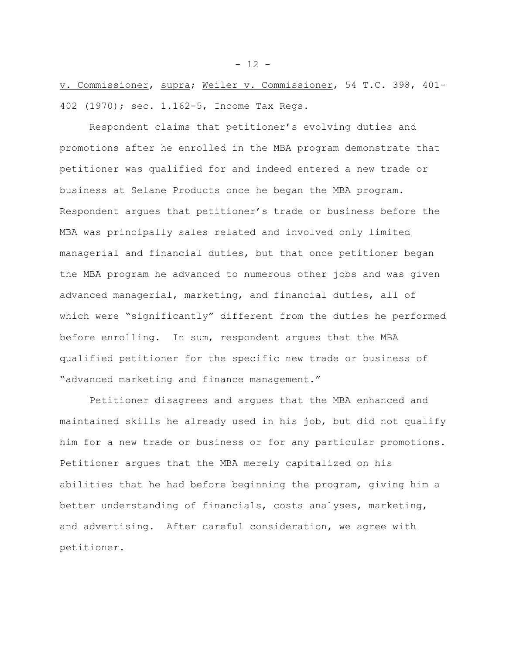v. Commissioner, supra; Weiler v. Commissioner, 54 T.C. 398, 401- 402 (1970); sec. 1.162-5, Income Tax Regs.

Respondent claims that petitioner's evolving duties and promotions after he enrolled in the MBA program demonstrate that petitioner was qualified for and indeed entered a new trade or business at Selane Products once he began the MBA program. Respondent argues that petitioner's trade or business before the MBA was principally sales related and involved only limited managerial and financial duties, but that once petitioner began the MBA program he advanced to numerous other jobs and was given advanced managerial, marketing, and financial duties, all of which were "significantly" different from the duties he performed before enrolling. In sum, respondent argues that the MBA qualified petitioner for the specific new trade or business of "advanced marketing and finance management."

Petitioner disagrees and argues that the MBA enhanced and maintained skills he already used in his job, but did not qualify him for a new trade or business or for any particular promotions. Petitioner argues that the MBA merely capitalized on his abilities that he had before beginning the program, giving him a better understanding of financials, costs analyses, marketing, and advertising. After careful consideration, we agree with petitioner.

- 12 -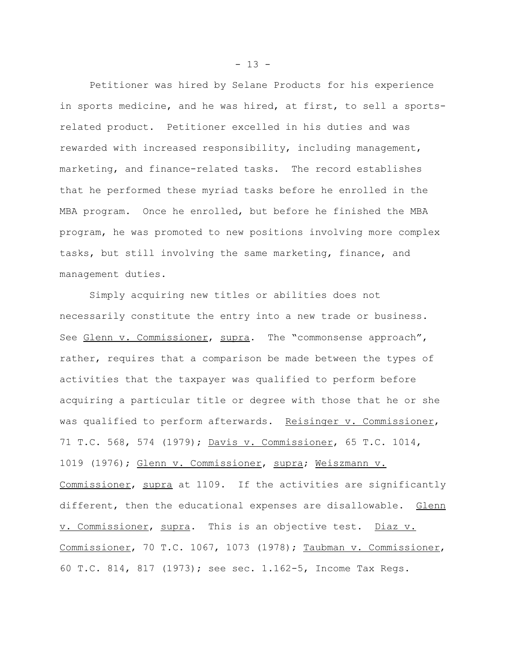Petitioner was hired by Selane Products for his experience in sports medicine, and he was hired, at first, to sell a sportsrelated product. Petitioner excelled in his duties and was rewarded with increased responsibility, including management, marketing, and finance-related tasks. The record establishes that he performed these myriad tasks before he enrolled in the MBA program. Once he enrolled, but before he finished the MBA program, he was promoted to new positions involving more complex tasks, but still involving the same marketing, finance, and management duties.

Simply acquiring new titles or abilities does not necessarily constitute the entry into a new trade or business. See Glenn v. Commissioner, supra. The "commonsense approach", rather, requires that a comparison be made between the types of activities that the taxpayer was qualified to perform before acquiring a particular title or degree with those that he or she was qualified to perform afterwards. Reisinger v. Commissioner, 71 T.C. 568, 574 (1979); Davis v. Commissioner, 65 T.C. 1014, 1019 (1976); Glenn v. Commissioner, supra; Weiszmann v. Commissioner, supra at 1109. If the activities are significantly different, then the educational expenses are disallowable. Glenn v. Commissioner, supra. This is an objective test. Diaz v. Commissioner, 70 T.C. 1067, 1073 (1978); Taubman v. Commissioner, 60 T.C. 814, 817 (1973); see sec. 1.162-5, Income Tax Regs.

 $- 13 -$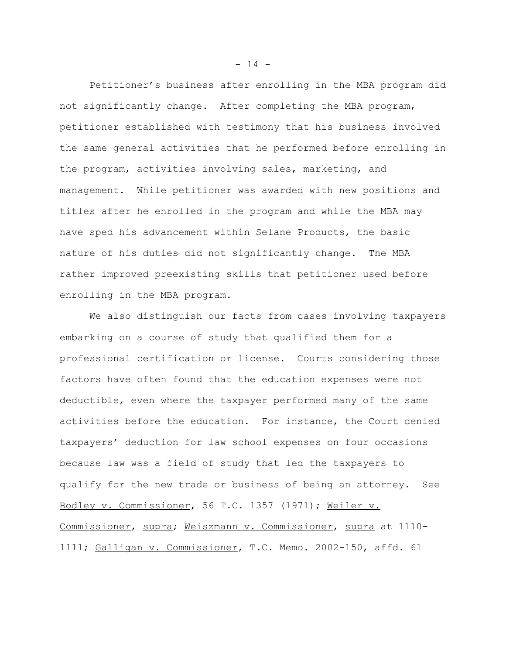Petitioner's business after enrolling in the MBA program did not significantly change. After completing the MBA program, petitioner established with testimony that his business involved the same general activities that he performed before enrolling in the program, activities involving sales, marketing, and management. While petitioner was awarded with new positions and titles after he enrolled in the program and while the MBA may have sped his advancement within Selane Products, the basic nature of his duties did not significantly change. The MBA rather improved preexisting skills that petitioner used before enrolling in the MBA program.

We also distinguish our facts from cases involving taxpayers embarking on a course of study that qualified them for a professional certification or license. Courts considering those factors have often found that the education expenses were not deductible, even where the taxpayer performed many of the same activities before the education. For instance, the Court denied taxpayers' deduction for law school expenses on four occasions because law was a field of study that led the taxpayers to qualify for the new trade or business of being an attorney. See Bodley v. Commissioner, 56 T.C. 1357 (1971); Weiler v. Commissioner, supra; Weiszmann v. Commissioner, supra at 1110- 1111; Galligan v. Commissioner, T.C. Memo. 2002-150, affd. 61

 $- 14 -$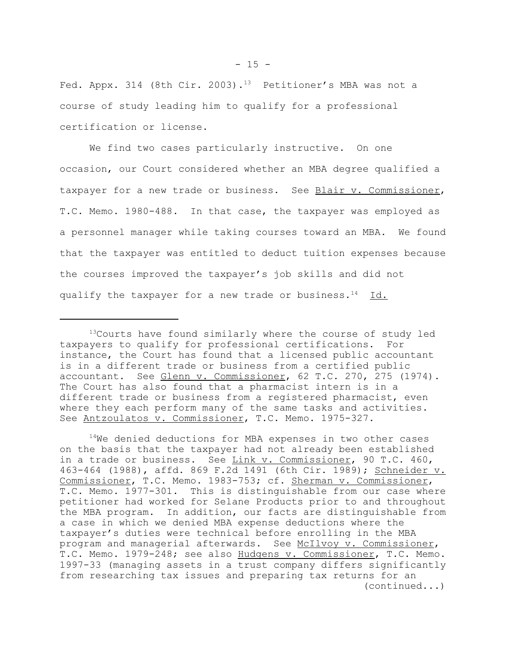Fed. Appx. 314 (8th Cir. 2003).<sup>13</sup> Petitioner's MBA was not a course of study leading him to qualify for a professional certification or license.

We find two cases particularly instructive. On one occasion, our Court considered whether an MBA degree qualified a taxpayer for a new trade or business. See Blair v. Commissioner, T.C. Memo. 1980-488. In that case, the taxpayer was employed as a personnel manager while taking courses toward an MBA. We found that the taxpayer was entitled to deduct tuition expenses because the courses improved the taxpayer's job skills and did not qualify the taxpayer for a new trade or business.<sup>14</sup> Id.

<sup>14</sup>We denied deductions for MBA expenses in two other cases on the basis that the taxpayer had not already been established in a trade or business. See Link v. Commissioner, 90 T.C. 460, 463-464 (1988), affd. 869 F.2d 1491 (6th Cir. 1989); Schneider v. Commissioner, T.C. Memo. 1983-753; cf. Sherman v. Commissioner, T.C. Memo. 1977-301. This is distinguishable from our case where petitioner had worked for Selane Products prior to and throughout the MBA program. In addition, our facts are distinguishable from a case in which we denied MBA expense deductions where the taxpayer's duties were technical before enrolling in the MBA program and managerial afterwards. See McIlvoy v. Commissioner, T.C. Memo. 1979-248; see also Hudgens v. Commissioner, T.C. Memo. 1997-33 (managing assets in a trust company differs significantly from researching tax issues and preparing tax returns for an (continued...)

<sup>&</sup>lt;sup>13</sup>Courts have found similarly where the course of study led taxpayers to qualify for professional certifications. For instance, the Court has found that a licensed public accountant is in a different trade or business from a certified public accountant. See Glenn v. Commissioner, 62 T.C. 270, 275 (1974). The Court has also found that a pharmacist intern is in a different trade or business from a registered pharmacist, even where they each perform many of the same tasks and activities. See Antzoulatos v. Commissioner, T.C. Memo. 1975-327.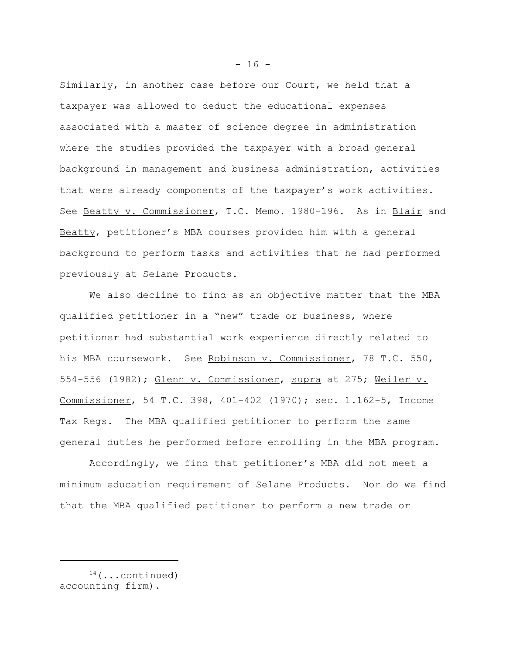Similarly, in another case before our Court, we held that a taxpayer was allowed to deduct the educational expenses associated with a master of science degree in administration where the studies provided the taxpayer with a broad general background in management and business administration, activities that were already components of the taxpayer's work activities. See Beatty v. Commissioner, T.C. Memo. 1980-196. As in Blair and Beatty, petitioner's MBA courses provided him with a general background to perform tasks and activities that he had performed previously at Selane Products.

We also decline to find as an objective matter that the MBA qualified petitioner in a "new" trade or business, where petitioner had substantial work experience directly related to his MBA coursework. See Robinson v. Commissioner, 78 T.C. 550, 554-556 (1982); Glenn v. Commissioner, supra at 275; Weiler v. Commissioner, 54 T.C. 398, 401-402 (1970); sec. 1.162-5, Income Tax Regs. The MBA qualified petitioner to perform the same general duties he performed before enrolling in the MBA program.

Accordingly, we find that petitioner's MBA did not meet a minimum education requirement of Selane Products. Nor do we find that the MBA qualified petitioner to perform a new trade or

- 16 -

 $14$  (...continued) accounting firm).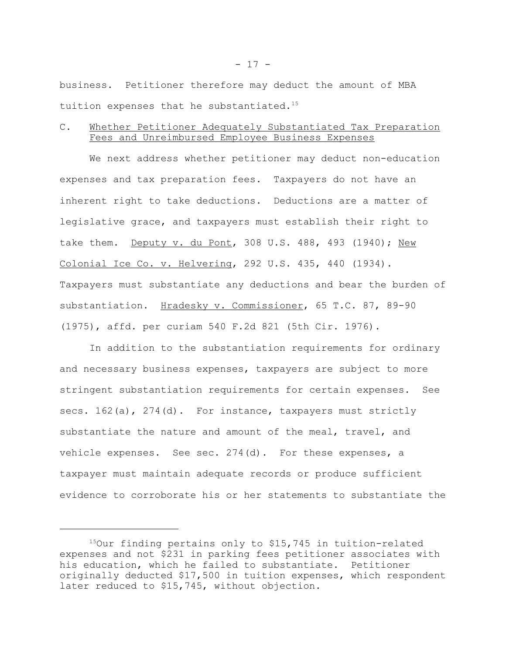business. Petitioner therefore may deduct the amount of MBA tuition expenses that he substantiated.<sup>15</sup>

## C. Whether Petitioner Adequately Substantiated Tax Preparation Fees and Unreimbursed Employee Business Expenses

We next address whether petitioner may deduct non-education expenses and tax preparation fees. Taxpayers do not have an inherent right to take deductions. Deductions are a matter of legislative grace, and taxpayers must establish their right to take them. Deputy v. du Pont, 308 U.S. 488, 493 (1940); New Colonial Ice Co. v. Helvering, 292 U.S. 435, 440 (1934). Taxpayers must substantiate any deductions and bear the burden of substantiation. Hradesky v. Commissioner, 65 T.C. 87, 89-90 (1975), affd. per curiam 540 F.2d 821 (5th Cir. 1976).

In addition to the substantiation requirements for ordinary and necessary business expenses, taxpayers are subject to more stringent substantiation requirements for certain expenses. See secs. 162(a), 274(d). For instance, taxpayers must strictly substantiate the nature and amount of the meal, travel, and vehicle expenses. See sec. 274(d). For these expenses, a taxpayer must maintain adequate records or produce sufficient evidence to corroborate his or her statements to substantiate the

 $150$ ur finding pertains only to \$15,745 in tuition-related expenses and not \$231 in parking fees petitioner associates with his education, which he failed to substantiate. Petitioner originally deducted \$17,500 in tuition expenses, which respondent later reduced to \$15,745, without objection.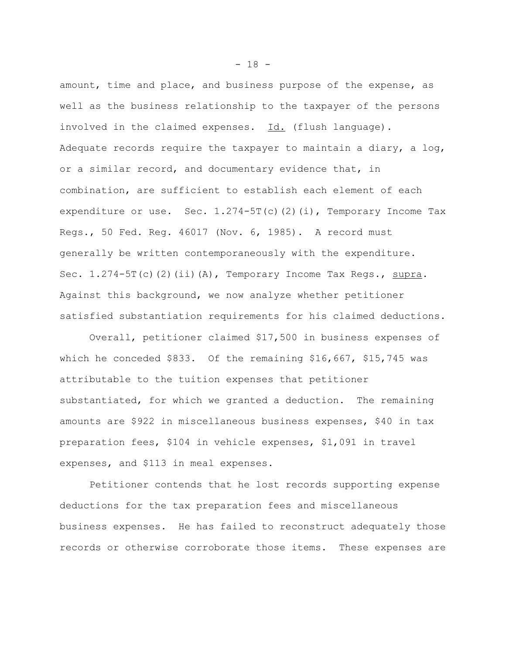amount, time and place, and business purpose of the expense, as well as the business relationship to the taxpayer of the persons involved in the claimed expenses. Id. (flush language). Adequate records require the taxpayer to maintain a diary, a log, or a similar record, and documentary evidence that, in combination, are sufficient to establish each element of each expenditure or use. Sec.  $1.274-5T(c)(2)(i)$ , Temporary Income Tax Regs., 50 Fed. Reg. 46017 (Nov. 6, 1985). A record must generally be written contemporaneously with the expenditure. Sec.  $1.274-5T(c)(2)(ii)(A)$ , Temporary Income Tax Regs., supra. Against this background, we now analyze whether petitioner satisfied substantiation requirements for his claimed deductions.

Overall, petitioner claimed \$17,500 in business expenses of which he conceded \$833. Of the remaining \$16,667, \$15,745 was attributable to the tuition expenses that petitioner substantiated, for which we granted a deduction. The remaining amounts are \$922 in miscellaneous business expenses, \$40 in tax preparation fees, \$104 in vehicle expenses, \$1,091 in travel expenses, and \$113 in meal expenses.

Petitioner contends that he lost records supporting expense deductions for the tax preparation fees and miscellaneous business expenses. He has failed to reconstruct adequately those records or otherwise corroborate those items. These expenses are

- 18 -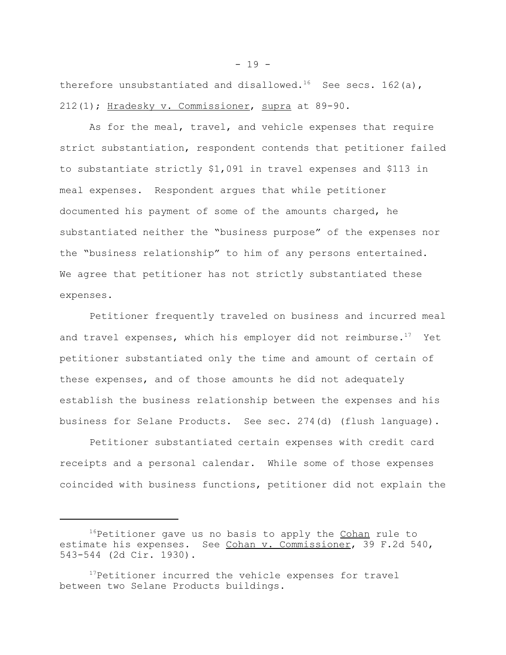therefore unsubstantiated and disallowed.<sup>16</sup> See secs. 162(a), 212(1); Hradesky v. Commissioner, supra at 89-90.

As for the meal, travel, and vehicle expenses that require strict substantiation, respondent contends that petitioner failed to substantiate strictly \$1,091 in travel expenses and \$113 in meal expenses. Respondent argues that while petitioner documented his payment of some of the amounts charged, he substantiated neither the "business purpose" of the expenses nor the "business relationship" to him of any persons entertained. We agree that petitioner has not strictly substantiated these expenses.

Petitioner frequently traveled on business and incurred meal and travel expenses, which his employer did not reimburse. $17$  Yet petitioner substantiated only the time and amount of certain of these expenses, and of those amounts he did not adequately establish the business relationship between the expenses and his business for Selane Products. See sec. 274(d) (flush language).

Petitioner substantiated certain expenses with credit card receipts and a personal calendar. While some of those expenses coincided with business functions, petitioner did not explain the

<sup>&</sup>lt;sup>16</sup>Petitioner gave us no basis to apply the Cohan rule to estimate his expenses. See Cohan v. Commissioner, 39 F.2d 540, 543-544 (2d Cir. 1930).

<sup>&</sup>lt;sup>17</sup>Petitioner incurred the vehicle expenses for travel between two Selane Products buildings.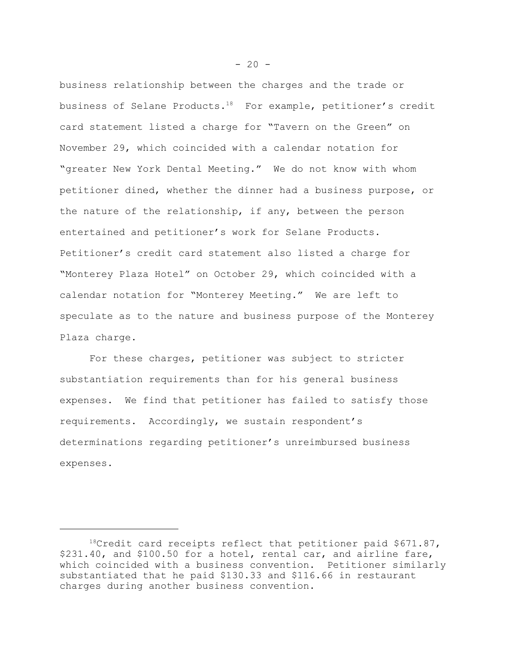business relationship between the charges and the trade or business of Selane Products.18 For example, petitioner's credit card statement listed a charge for "Tavern on the Green" on November 29, which coincided with a calendar notation for "greater New York Dental Meeting." We do not know with whom petitioner dined, whether the dinner had a business purpose, or the nature of the relationship, if any, between the person entertained and petitioner's work for Selane Products. Petitioner's credit card statement also listed a charge for "Monterey Plaza Hotel" on October 29, which coincided with a calendar notation for "Monterey Meeting." We are left to speculate as to the nature and business purpose of the Monterey Plaza charge.

For these charges, petitioner was subject to stricter substantiation requirements than for his general business expenses. We find that petitioner has failed to satisfy those requirements. Accordingly, we sustain respondent's determinations regarding petitioner's unreimbursed business expenses.

 $18C$ redit card receipts reflect that petitioner paid \$671.87, \$231.40, and \$100.50 for a hotel, rental car, and airline fare, which coincided with a business convention. Petitioner similarly substantiated that he paid \$130.33 and \$116.66 in restaurant charges during another business convention.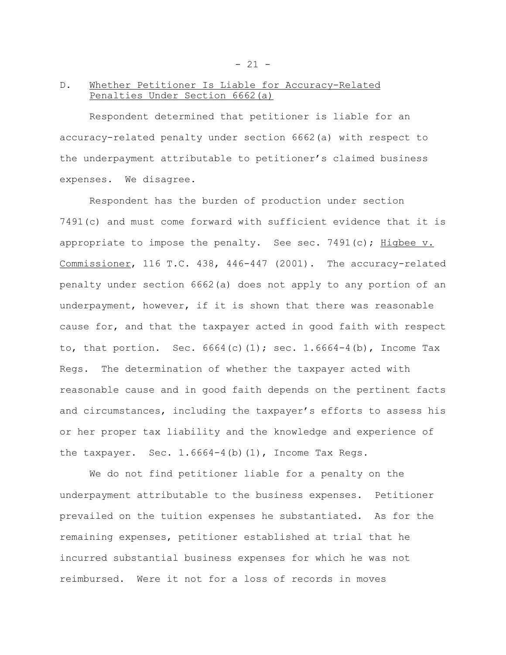## D. Whether Petitioner Is Liable for Accuracy-Related Penalties Under Section 6662(a)

Respondent determined that petitioner is liable for an accuracy-related penalty under section 6662(a) with respect to the underpayment attributable to petitioner's claimed business expenses. We disagree.

Respondent has the burden of production under section 7491(c) and must come forward with sufficient evidence that it is appropriate to impose the penalty. See sec. 7491(c); Higbee  $v$ . Commissioner, 116 T.C. 438, 446-447 (2001). The accuracy-related penalty under section 6662(a) does not apply to any portion of an underpayment, however, if it is shown that there was reasonable cause for, and that the taxpayer acted in good faith with respect to, that portion. Sec.  $6664(c)(1)$ ; sec. 1.6664-4(b), Income Tax Regs. The determination of whether the taxpayer acted with reasonable cause and in good faith depends on the pertinent facts and circumstances, including the taxpayer's efforts to assess his or her proper tax liability and the knowledge and experience of the taxpayer. Sec.  $1.6664-4$  (b)  $(1)$ , Income Tax Regs.

We do not find petitioner liable for a penalty on the underpayment attributable to the business expenses. Petitioner prevailed on the tuition expenses he substantiated. As for the remaining expenses, petitioner established at trial that he incurred substantial business expenses for which he was not reimbursed. Were it not for a loss of records in moves